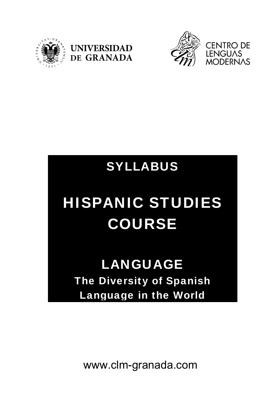





## SYLLABUS

# HISPANIC STUDIES COURSE

## LANGUAGE The Diversity of Spanish Language in the World

www.clm-granada.com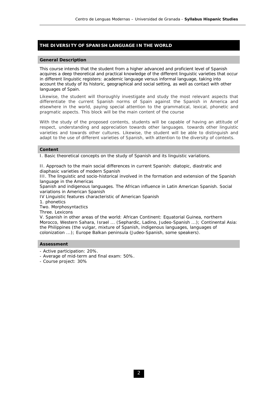### **THE DIVERSITY OF SPANISH LANGUAGE IN THE WORLD**

#### **General Description**

This course intends that the student from a higher advanced and proficient level of Spanish acquires a deep theoretical and practical knowledge of the different linguistic varieties that occur in different linguistic registers: academic language versus informal language, taking into account the study of its historic, geographical and social setting, as well as contact with other languages of Spain.

Likewise, the student will thoroughly investigate and study the most relevant aspects that differentiate the current Spanish norms of Spain against the Spanish in America and elsewhere in the world, paying special attention to the grammatical, lexical, phonetic and pragmatic aspects. This block will be the main content of the course

With the study of the proposed contents, students will be capable of having an attitude of respect, understanding and appreciation towards other languages, towards other linguistic varieties and towards other cultures. Likewise, the student will be able to distinguish and adapt to the use of different varieties of Spanish, with attention to the diversity of contexts.

#### **Content**

I. Basic theoretical concepts on the study of Spanish and its linguistic variations.

II. Approach to the main social differences in current Spanish: diatopic, diastratic and diaphasic varieties of modern Spanish

III. The linguistic and socio-historical involved in the formation and extension of the Spanish language in the Americas

Spanish and indigenous languages. The African influence in Latin American Spanish. Social variations in American Spanish

IV Linguistic features characteristic of American Spanish

1. phonetics

Two. Morphosyntactics

Three. Lexicons

V. Spanish in other areas of the world: African Continent: Equatorial Guinea, northern Morocco, Western Sahara, Israel ... (Sephardic, Ladino, Judeo-Spanish ...); Continental Asia: the Philippines (the vulgar, mixture of Spanish, indigenous languages, languages of colonization ...); Europe Balkan peninsula (Judeo-Spanish, some speakers).

#### **Assessment**

- Active participation: 20%.
- Average of mid-term and final exam: 50%.
- Course project: 30%